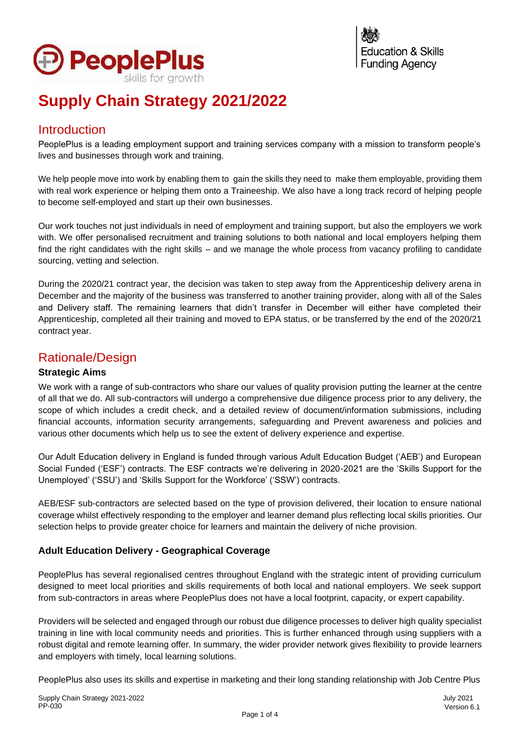

# **Supply Chain Strategy 2021/2022**

# Introduction

PeoplePlus is a leading employment support and training services company with a mission to transform people's lives and businesses through work and training.

We help people move into work by enabling them to gain the skills they need to make them employable, providing them with real work experience or helping them onto a Traineeship. We also have a long track record of helping people to become self-employed and start up their own businesses.

Our work touches not just individuals in need of employment and training support, but also the employers we work with. We offer personalised recruitment and training solutions to both national and local employers helping them find the right candidates with the right skills – and we manage the whole process from vacancy profiling to candidate sourcing, vetting and selection.

During the 2020/21 contract year, the decision was taken to step away from the Apprenticeship delivery arena in December and the majority of the business was transferred to another training provider, along with all of the Sales and Delivery staff. The remaining learners that didn't transfer in December will either have completed their Apprenticeship, completed all their training and moved to EPA status, or be transferred by the end of the 2020/21 contract year.

# Rationale/Design

#### **Strategic Aims**

We work with a range of sub-contractors who share our values of quality provision putting the learner at the centre of all that we do. All sub-contractors will undergo a comprehensive due diligence process prior to any delivery, the scope of which includes a credit check, and a detailed review of document/information submissions, including financial accounts, information security arrangements, safeguarding and Prevent awareness and policies and various other documents which help us to see the extent of delivery experience and expertise.

Our Adult Education delivery in England is funded through various Adult Education Budget ('AEB') and European Social Funded ('ESF') contracts. The ESF contracts we're delivering in 2020-2021 are the 'Skills Support for the Unemployed' ('SSU') and 'Skills Support for the Workforce' ('SSW') contracts.

AEB/ESF sub-contractors are selected based on the type of provision delivered, their location to ensure national coverage whilst effectively responding to the employer and learner demand plus reflecting local skills priorities. Our selection helps to provide greater choice for learners and maintain the delivery of niche provision.

#### **Adult Education Delivery - Geographical Coverage**

PeoplePlus has several regionalised centres throughout England with the strategic intent of providing curriculum designed to meet local priorities and skills requirements of both local and national employers. We seek support from sub-contractors in areas where PeoplePlus does not have a local footprint, capacity, or expert capability.

Providers will be selected and engaged through our robust due diligence processes to deliver high quality specialist training in line with local community needs and priorities. This is further enhanced through using suppliers with a robust digital and remote learning offer. In summary, the wider provider network gives flexibility to provide learners and employers with timely, local learning solutions.

PeoplePlus also uses its skills and expertise in marketing and their long standing relationship with Job Centre Plus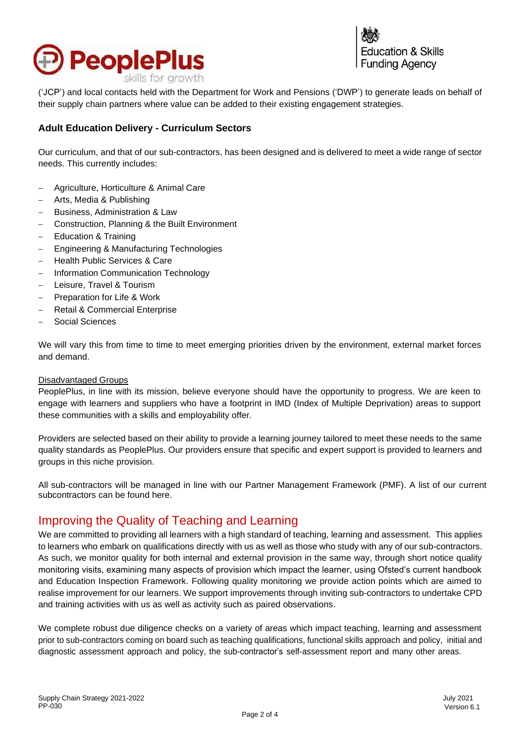

cation & Skills **Funding Agency** 

('JCP') and local contacts held with the Department for Work and Pensions ('DWP') to generate leads on behalf of their supply chain partners where value can be added to their existing engagement strategies.

#### **Adult Education Delivery - Curriculum Sectors**

Our curriculum, and that of our sub-contractors, has been designed and is delivered to meet a wide range of sector needs. This currently includes:

- − Agriculture, Horticulture & Animal Care
- − Arts, Media & Publishing
- − Business, Administration & Law
- − Construction, Planning & the Built Environment
- − Education & Training
- − Engineering & Manufacturing Technologies
- − Health Public Services & Care
- − Information Communication Technology
- − Leisure, Travel & Tourism
- − Preparation for Life & Work
- − Retail & Commercial Enterprise
- − Social Sciences

We will vary this from time to time to meet emerging priorities driven by the environment, external market forces and demand.

#### Disadvantaged Groups

PeoplePlus, in line with its mission, believe everyone should have the opportunity to progress. We are keen to engage with learners and suppliers who have a footprint in IMD (Index of Multiple Deprivation) areas to support these communities with a skills and employability offer.

Providers are selected based on their ability to provide a learning journey tailored to meet these needs to the same quality standards as PeoplePlus. Our providers ensure that specific and expert support is provided to learners and groups in this niche provision.

All sub-contractors will be managed in line with our Partner Management Framework (PMF). A list of our current subcontractors can be found [here.](https://peopleplus.co.uk/page/delivery-partners-payments)

#### Improving the Quality of Teaching and Learning

We are committed to providing all learners with a high standard of teaching, learning and assessment. This applies to learners who embark on qualifications directly with us as well as those who study with any of our sub-contractors. As such, we monitor quality for both internal and external provision in the same way, through short notice quality monitoring visits, examining many aspects of provision which impact the learner, using Ofsted's current handbook and Education Inspection Framework. Following quality monitoring we provide action points which are aimed to realise improvement for our learners. We support improvements through inviting sub-contractors to undertake CPD and training activities with us as well as activity such as paired observations.

We complete robust due diligence checks on a variety of areas which impact teaching, learning and assessment prior to sub-contractors coming on board such as teaching qualifications, functional skills approach and policy, initial and diagnostic assessment approach and policy, the sub-contractor's self-assessment report and many other areas.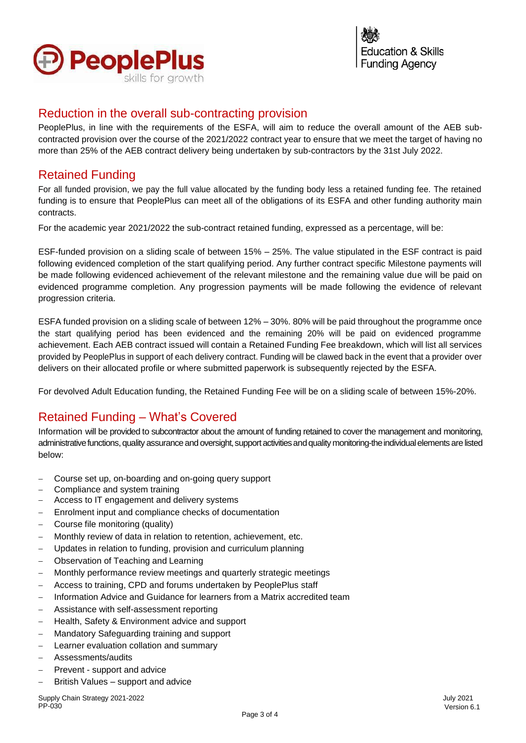

#### Reduction in the overall sub-contracting provision

PeoplePlus, in line with the requirements of the ESFA, will aim to reduce the overall amount of the AEB subcontracted provision over the course of the 2021/2022 contract year to ensure that we meet the target of having no more than 25% of the AEB contract delivery being undertaken by sub-contractors by the 31st July 2022.

## Retained Funding

For all funded provision, we pay the full value allocated by the funding body less a retained funding fee. The retained funding is to ensure that PeoplePlus can meet all of the obligations of its ESFA and other funding authority main contracts.

For the academic year 2021/2022 the sub-contract retained funding, expressed as a percentage, will be:

ESF-funded provision on a sliding scale of between 15% – 25%. The value stipulated in the ESF contract is paid following evidenced completion of the start qualifying period. Any further contract specific Milestone payments will be made following evidenced achievement of the relevant milestone and the remaining value due will be paid on evidenced programme completion. Any progression payments will be made following the evidence of relevant progression criteria.

ESFA funded provision on a sliding scale of between 12% – 30%. 80% will be paid throughout the programme once the start qualifying period has been evidenced and the remaining 20% will be paid on evidenced programme achievement. Each AEB contract issued will contain a Retained Funding Fee breakdown, which will list all services provided by PeoplePlus in support of each delivery contract. Funding will be clawed back in the event that a provider over delivers on their allocated profile or where submitted paperwork is subsequently rejected by the ESFA.

For devolved Adult Education funding, the Retained Funding Fee will be on a sliding scale of between 15%-20%.

# Retained Funding – What's Covered

Information will be provided to subcontractor about the amount of funding retained to cover the management and monitoring, administrative functions, quality assurance and oversight, support activities and quality monitoring-the individual elements are listed below:

- − Course set up, on-boarding and on-going query support
- − Compliance and system training
- − Access to IT engagement and delivery systems
- − Enrolment input and compliance checks of documentation
- − Course file monitoring (quality)
- − Monthly review of data in relation to retention, achievement, etc.
- Updates in relation to funding, provision and curriculum planning
- − Observation of Teaching and Learning
- − Monthly performance review meetings and quarterly strategic meetings
- − Access to training, CPD and forums undertaken by PeoplePlus staff
- − Information Advice and Guidance for learners from a Matrix accredited team
- − Assistance with self-assessment reporting
- − Health, Safety & Environment advice and support
- − Mandatory Safeguarding training and support
- Learner evaluation collation and summary
- − Assessments/audits
- − Prevent support and advice
- − British Values support and advice